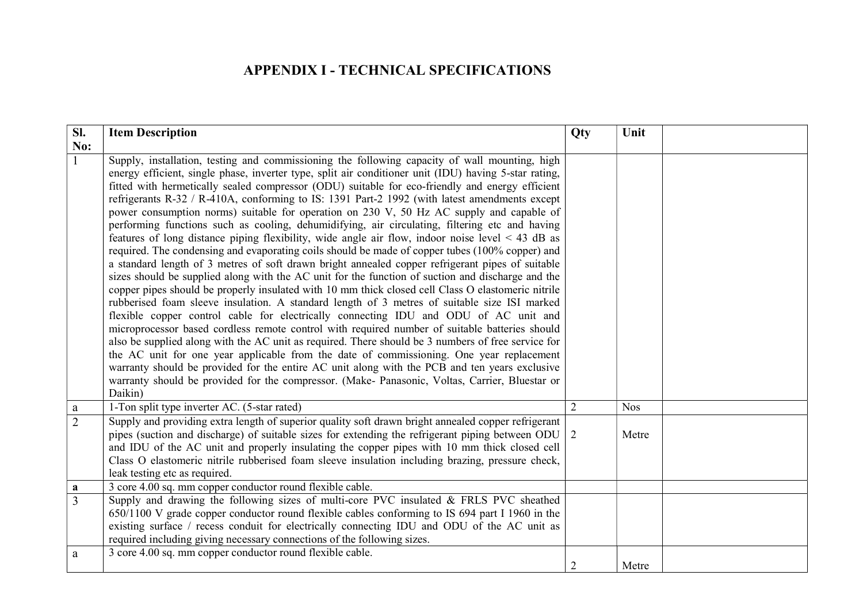## APPENDIX I - TECHNICAL SPECIFICATIONS

| SI.            | <b>Item Description</b>                                                                                                                                                                                                                                                                                                                                                                                                                                                                                                                                                                                                                                                                                                                                                                                                                                                                                                                                                                                                                                                                                                                                                                                                                                                                                                                                                                                                                                                                                                                                                                                                                                                                                                                                                                                                                       | Qty            | Unit       |
|----------------|-----------------------------------------------------------------------------------------------------------------------------------------------------------------------------------------------------------------------------------------------------------------------------------------------------------------------------------------------------------------------------------------------------------------------------------------------------------------------------------------------------------------------------------------------------------------------------------------------------------------------------------------------------------------------------------------------------------------------------------------------------------------------------------------------------------------------------------------------------------------------------------------------------------------------------------------------------------------------------------------------------------------------------------------------------------------------------------------------------------------------------------------------------------------------------------------------------------------------------------------------------------------------------------------------------------------------------------------------------------------------------------------------------------------------------------------------------------------------------------------------------------------------------------------------------------------------------------------------------------------------------------------------------------------------------------------------------------------------------------------------------------------------------------------------------------------------------------------------|----------------|------------|
| No:            |                                                                                                                                                                                                                                                                                                                                                                                                                                                                                                                                                                                                                                                                                                                                                                                                                                                                                                                                                                                                                                                                                                                                                                                                                                                                                                                                                                                                                                                                                                                                                                                                                                                                                                                                                                                                                                               |                |            |
|                | Supply, installation, testing and commissioning the following capacity of wall mounting, high<br>energy efficient, single phase, inverter type, split air conditioner unit (IDU) having 5-star rating,<br>fitted with hermetically sealed compressor (ODU) suitable for eco-friendly and energy efficient<br>refrigerants R-32 / R-410A, conforming to IS: 1391 Part-2 1992 (with latest amendments except<br>power consumption norms) suitable for operation on 230 V, 50 Hz AC supply and capable of<br>performing functions such as cooling, dehumidifying, air circulating, filtering etc and having<br>features of long distance piping flexibility, wide angle air flow, indoor noise level $\leq 43$ dB as<br>required. The condensing and evaporating coils should be made of copper tubes (100% copper) and<br>a standard length of 3 metres of soft drawn bright annealed copper refrigerant pipes of suitable<br>sizes should be supplied along with the AC unit for the function of suction and discharge and the<br>copper pipes should be properly insulated with 10 mm thick closed cell Class O elastomeric nitrile<br>rubberised foam sleeve insulation. A standard length of 3 metres of suitable size ISI marked<br>flexible copper control cable for electrically connecting IDU and ODU of AC unit and<br>microprocessor based cordless remote control with required number of suitable batteries should<br>also be supplied along with the AC unit as required. There should be 3 numbers of free service for<br>the AC unit for one year applicable from the date of commissioning. One year replacement<br>warranty should be provided for the entire AC unit along with the PCB and ten years exclusive<br>warranty should be provided for the compressor. (Make- Panasonic, Voltas, Carrier, Bluestar or<br>Daikin) |                |            |
| a              | 1-Ton split type inverter AC. (5-star rated)                                                                                                                                                                                                                                                                                                                                                                                                                                                                                                                                                                                                                                                                                                                                                                                                                                                                                                                                                                                                                                                                                                                                                                                                                                                                                                                                                                                                                                                                                                                                                                                                                                                                                                                                                                                                  | 2              | <b>Nos</b> |
| $\overline{2}$ | Supply and providing extra length of superior quality soft drawn bright annealed copper refrigerant<br>pipes (suction and discharge) of suitable sizes for extending the refrigerant piping between ODU $\mid$ 2<br>and IDU of the AC unit and properly insulating the copper pipes with 10 mm thick closed cell<br>Class O elastomeric nitrile rubberised foam sleeve insulation including brazing, pressure check,<br>leak testing etc as required.                                                                                                                                                                                                                                                                                                                                                                                                                                                                                                                                                                                                                                                                                                                                                                                                                                                                                                                                                                                                                                                                                                                                                                                                                                                                                                                                                                                         |                | Metre      |
| a              | 3 core 4.00 sq. mm copper conductor round flexible cable.                                                                                                                                                                                                                                                                                                                                                                                                                                                                                                                                                                                                                                                                                                                                                                                                                                                                                                                                                                                                                                                                                                                                                                                                                                                                                                                                                                                                                                                                                                                                                                                                                                                                                                                                                                                     |                |            |
| $\overline{3}$ | Supply and drawing the following sizes of multi-core PVC insulated & FRLS PVC sheathed<br>650/1100 V grade copper conductor round flexible cables conforming to IS 694 part I 1960 in the<br>existing surface / recess conduit for electrically connecting IDU and ODU of the AC unit as<br>required including giving necessary connections of the following sizes.                                                                                                                                                                                                                                                                                                                                                                                                                                                                                                                                                                                                                                                                                                                                                                                                                                                                                                                                                                                                                                                                                                                                                                                                                                                                                                                                                                                                                                                                           |                |            |
| a              | 3 core 4.00 sq. mm copper conductor round flexible cable.                                                                                                                                                                                                                                                                                                                                                                                                                                                                                                                                                                                                                                                                                                                                                                                                                                                                                                                                                                                                                                                                                                                                                                                                                                                                                                                                                                                                                                                                                                                                                                                                                                                                                                                                                                                     | $\overline{2}$ | Metre      |